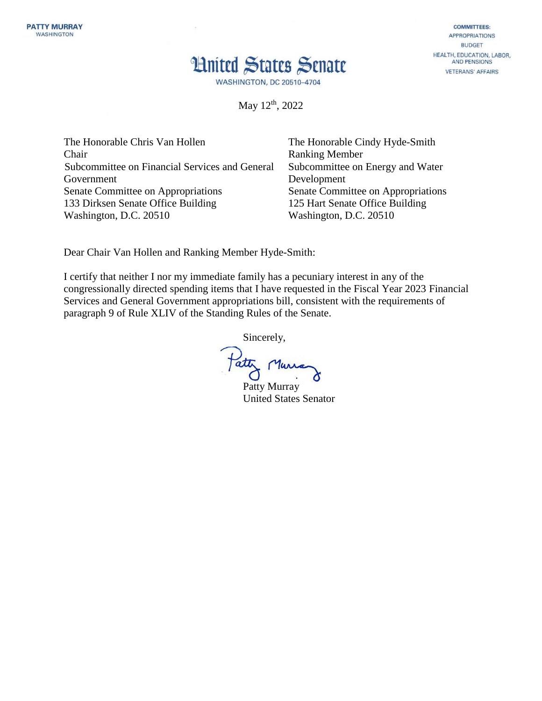## **Hnited States Senate**

**COMMITTEES: APPROPRIATIONS BUDGET** HEALTH, EDUCATION, LABOR, **AND PENSIONS VETERANS' AFFAIRS** 

**WASHINGTON, DC 20510-4704** 

May 12<sup>th</sup>, 2022

The Honorable Chris Van Hollen Chair Subcommittee on Financial Services and General Government Senate Committee on Appropriations 133 Dirksen Senate Office Building Washington, D.C. 20510

The Honorable Cindy Hyde-Smith Ranking Member Subcommittee on Energy and Water Development Senate Committee on Appropriations 125 Hart Senate Office Building Washington, D.C. 20510

Dear Chair Van Hollen and Ranking Member Hyde-Smith:

I certify that neither I nor my immediate family has a pecuniary interest in any of the congressionally directed spending items that I have requested in the Fiscal Year 2023 Financial Services and General Government appropriations bill, consistent with the requirements of paragraph 9 of Rule XLIV of the Standing Rules of the Senate.

Sincerely,

Tatty Murra

Patty Murray United States Senator